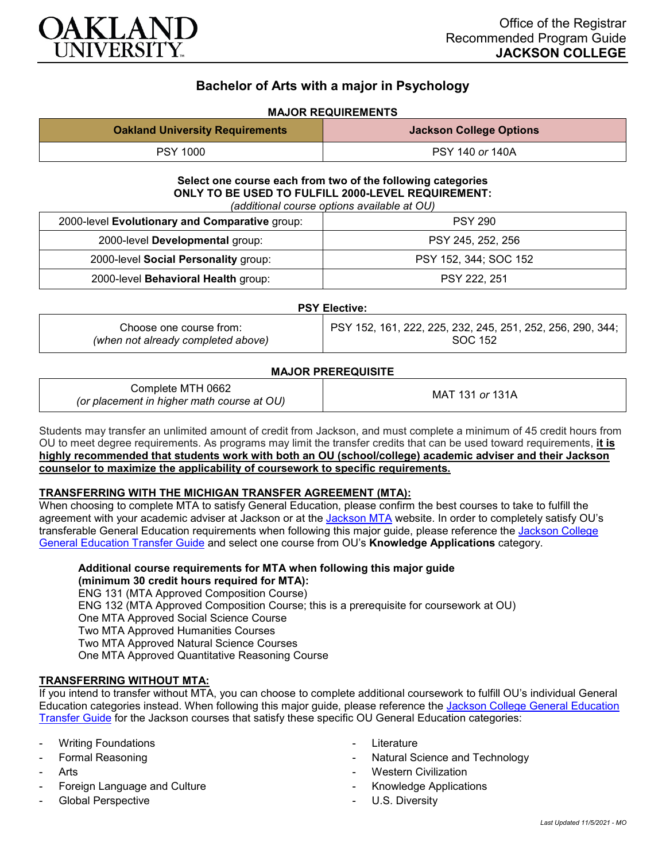

# **Bachelor of Arts with a major in Psychology**

# **MAJOR REQUIREMENTS**

| <b>Oakland University Requirements</b> | <b>Jackson College Options</b> |
|----------------------------------------|--------------------------------|
| <b>PSY 1000</b>                        | PSY 140 or 140A                |

#### **Select one course each from two of the following categories ONLY TO BE USED TO FULFILL 2000-LEVEL REQUIREMENT:** *(additional course options available at OU)*

| 2000-level Evolutionary and Comparative group: | <b>PSY 290</b>        |
|------------------------------------------------|-----------------------|
| 2000-level Developmental group:                | PSY 245, 252, 256     |
| 2000-level Social Personality group:           | PSY 152, 344; SOC 152 |
| 2000-level Behavioral Health group:            | PSY 222, 251          |

#### **PSY Elective:**

## **MAJOR PREREQUISITE**

| Complete MTH 0662<br>(or placement in higher math course at OU) | MAT 131 or 131A |
|-----------------------------------------------------------------|-----------------|
|-----------------------------------------------------------------|-----------------|

Students may transfer an unlimited amount of credit from Jackson, and must complete a minimum of 45 credit hours from OU to meet degree requirements. As programs may limit the transfer credits that can be used toward requirements, **it is highly recommended that students work with both an OU (school/college) academic adviser and their Jackson counselor to maximize the applicability of coursework to specific requirements.**

#### **TRANSFERRING WITH THE MICHIGAN TRANSFER AGREEMENT (MTA):**

When choosing to complete MTA to satisfy General Education, please confirm the best courses to take to fulfill the agreement with your academic adviser at Jackson or at the [Jackson](https://www.jccmi.edu/transfer/michigan-transfer-agreement/) MTA website. In order to completely satisfy OU's transferable General Education requirements when following this major guide, please reference the [Jackson College](https://www.oakland.edu/Assets/Oakland/program-guides/jackson-college/university-general-education-requirements/Jackson%20Gen%20Ed.pdf)  [General Education Transfer Guide](https://www.oakland.edu/Assets/Oakland/program-guides/jackson-college/university-general-education-requirements/Jackson%20Gen%20Ed.pdf) and select one course from OU's **Knowledge Applications** category.

**Additional course requirements for MTA when following this major guide (minimum 30 credit hours required for MTA):**

ENG 131 (MTA Approved Composition Course) ENG 132 (MTA Approved Composition Course; this is a prerequisite for coursework at OU) One MTA Approved Social Science Course Two MTA Approved Humanities Courses Two MTA Approved Natural Science Courses One MTA Approved Quantitative Reasoning Course

# **TRANSFERRING WITHOUT MTA:**

If you intend to transfer without MTA, you can choose to complete additional coursework to fulfill OU's individual General Education categories instead. When following this major guide, please reference the [Jackson College General Education](https://www.oakland.edu/Assets/Oakland/program-guides/jackson-college/university-general-education-requirements/Jackson%20Gen%20Ed.pdf)  [Transfer Guide](https://www.oakland.edu/Assets/Oakland/program-guides/jackson-college/university-general-education-requirements/Jackson%20Gen%20Ed.pdf) for the Jackson courses that satisfy these specific OU General Education categories:

- **Writing Foundations**
- Formal Reasoning
- Arts
- Foreign Language and Culture
- Global Perspective
- **Literature**
- Natural Science and Technology
- **Western Civilization**
- Knowledge Applications
- U.S. Diversity